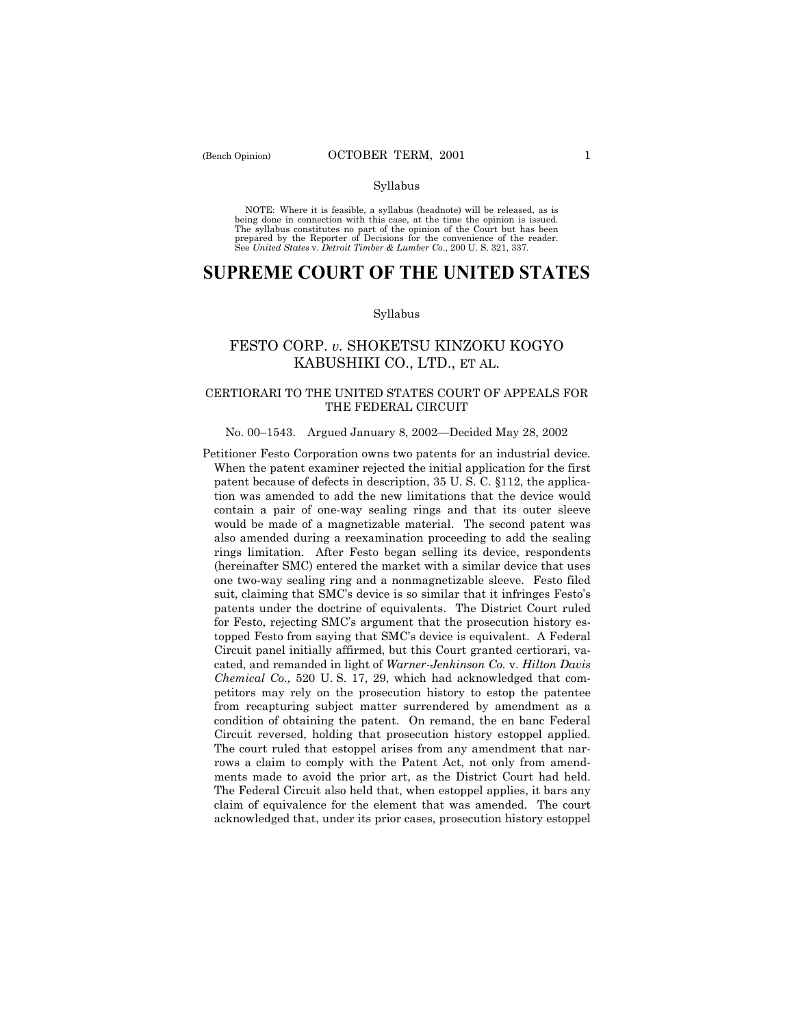### Syllabus

NOTE: Where it is feasible, a syllabus (headnote) will be released, as is being done in connection with this case, at the time the opinion is issued. The syllabus constitutes no part of the opinion of the Court but has been<br>prepared by the Reporter of Decisions for the convenience of the reader.<br>See United States v. Detroit Timber & Lumber Co., 200 U. S. 321, 337.

# **SUPREME COURT OF THE UNITED STATES**

#### Syllabus

## FESTO CORP. *v.* SHOKETSU KINZOKU KOGYO KABUSHIKI CO., LTD., ET AL.

## CERTIORARI TO THE UNITED STATES COURT OF APPEALS FOR THE FEDERAL CIRCUIT

#### No. 00–1543. Argued January 8, 2002–Decided May 28, 2002

Petitioner Festo Corporation owns two patents for an industrial device. When the patent examiner rejected the initial application for the first patent because of defects in description, 35 U. S. C. ß112, the application was amended to add the new limitations that the device would contain a pair of one-way sealing rings and that its outer sleeve would be made of a magnetizable material. The second patent was also amended during a reexamination proceeding to add the sealing rings limitation. After Festo began selling its device, respondents (hereinafter SMC) entered the market with a similar device that uses one two-way sealing ring and a nonmagnetizable sleeve. Festo filed suit, claiming that SMC's device is so similar that it infringes Festo's patents under the doctrine of equivalents. The District Court ruled for Festo, rejecting SMC's argument that the prosecution history estopped Festo from saying that SMC's device is equivalent. A Federal Circuit panel initially affirmed, but this Court granted certiorari, vacated, and remanded in light of *Warner-Jenkinson Co.* v. *Hilton Davis Chemical Co.,* 520 U. S. 17, 29, which had acknowledged that competitors may rely on the prosecution history to estop the patentee from recapturing subject matter surrendered by amendment as a condition of obtaining the patent. On remand, the en banc Federal Circuit reversed, holding that prosecution history estoppel applied. The court ruled that estoppel arises from any amendment that narrows a claim to comply with the Patent Act, not only from amendments made to avoid the prior art, as the District Court had held. The Federal Circuit also held that, when estoppel applies, it bars any claim of equivalence for the element that was amended. The court acknowledged that, under its prior cases, prosecution history estoppel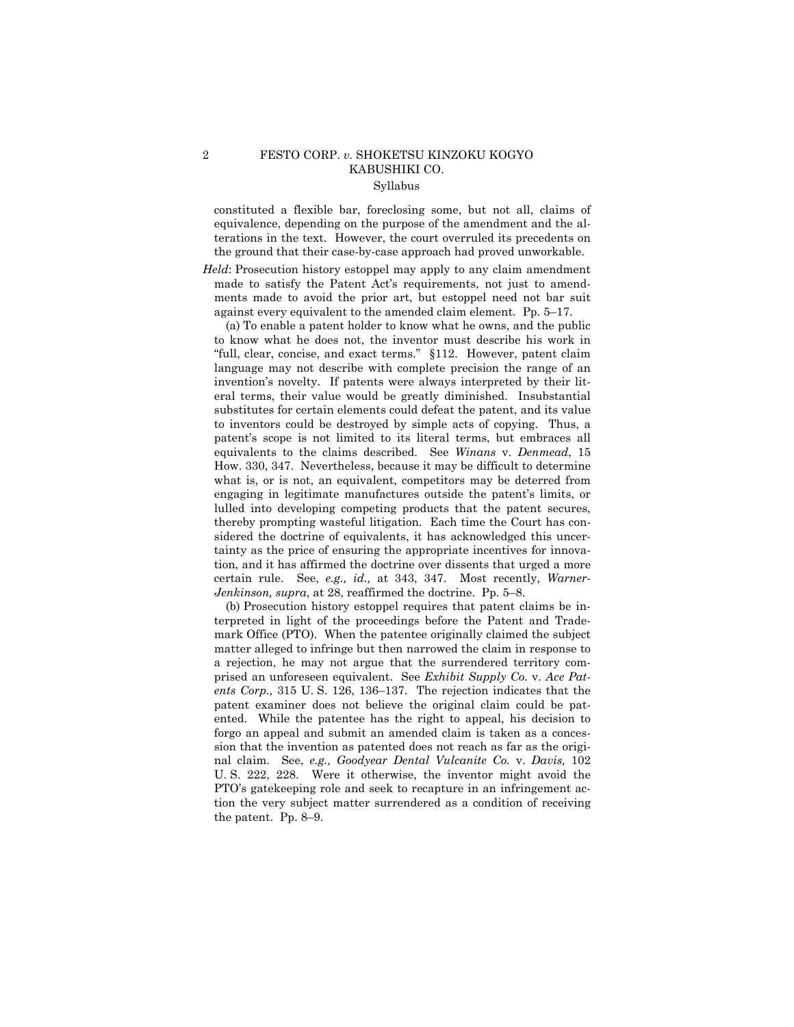## 2 FESTO CORP. *v.* SHOKETSU KINZOKU KOGYO KABUSHIKI CO. Syllabus

constituted a flexible bar, foreclosing some, but not all, claims of equivalence, depending on the purpose of the amendment and the alterations in the text. However, the court overruled its precedents on the ground that their case-by-case approach had proved unworkable.

*Held*: Prosecution history estoppel may apply to any claim amendment made to satisfy the Patent Act's requirements, not just to amendments made to avoid the prior art, but estoppel need not bar suit against every equivalent to the amended claim element. Pp.  $5-17$ .

(a) To enable a patent holder to know what he owns, and the public to know what he does not, the inventor must describe his work in "full, clear, concise, and exact terms." §112. However, patent claim language may not describe with complete precision the range of an invention's novelty. If patents were always interpreted by their literal terms, their value would be greatly diminished. Insubstantial substitutes for certain elements could defeat the patent, and its value to inventors could be destroyed by simple acts of copying. Thus, a patentís scope is not limited to its literal terms, but embraces all equivalents to the claims described. See *Winans* v. *Denmead*, 15 How. 330, 347. Nevertheless, because it may be difficult to determine what is, or is not, an equivalent, competitors may be deterred from engaging in legitimate manufactures outside the patent's limits, or lulled into developing competing products that the patent secures, thereby prompting wasteful litigation. Each time the Court has considered the doctrine of equivalents, it has acknowledged this uncertainty as the price of ensuring the appropriate incentives for innovation, and it has affirmed the doctrine over dissents that urged a more certain rule. See, *e.g., id.,* at 343, 347. Most recently, *Warner-* $Jenkinson, supra, at 28, confirmed the doctrine.  $Py. 5-8$ .$ 

(b) Prosecution history estoppel requires that patent claims be interpreted in light of the proceedings before the Patent and Trademark Office (PTO). When the patentee originally claimed the subject matter alleged to infringe but then narrowed the claim in response to a rejection, he may not argue that the surrendered territory comprised an unforeseen equivalent. See *Exhibit Supply Co.* v. *Ace Patents Corp.*, 315 U.S. 126, 136–137. The rejection indicates that the patent examiner does not believe the original claim could be patented. While the patentee has the right to appeal, his decision to forgo an appeal and submit an amended claim is taken as a concession that the invention as patented does not reach as far as the original claim. See, *e.g., Goodyear Dental Vulcanite Co.* v. *Davis,* 102 U. S. 222, 228. Were it otherwise, the inventor might avoid the PTO's gatekeeping role and seek to recapture in an infringement action the very subject matter surrendered as a condition of receiving the patent. Pp.  $8-9$ .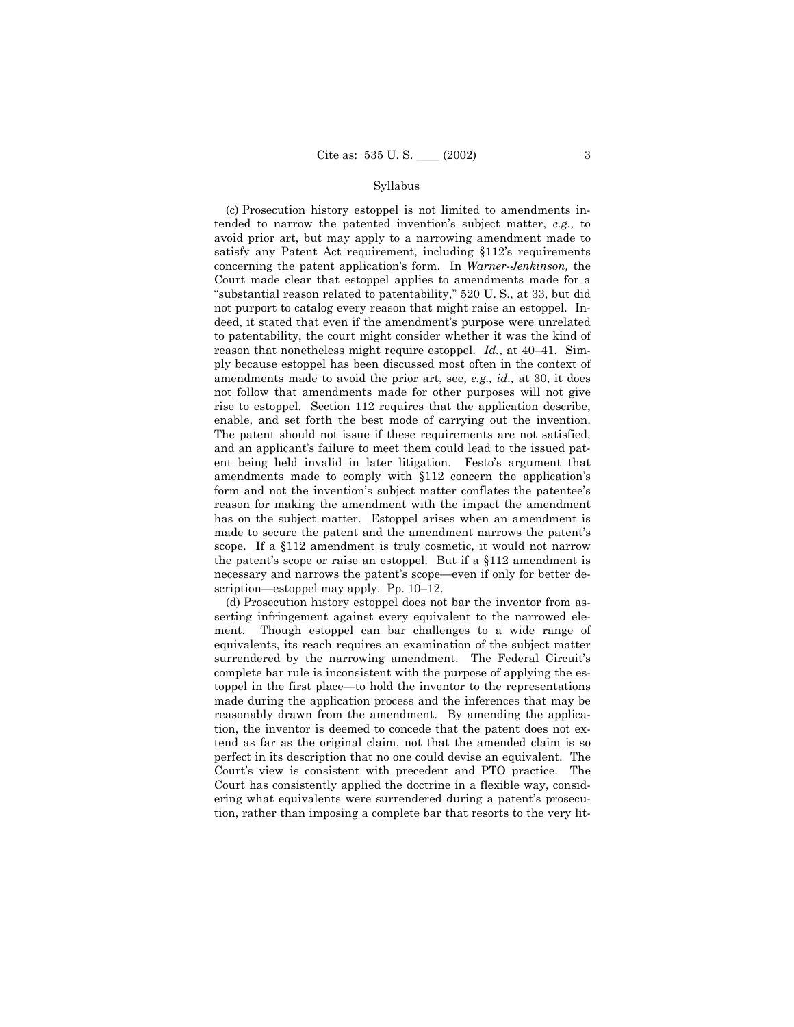#### Syllabus

(c) Prosecution history estoppel is not limited to amendments intended to narrow the patented inventionís subject matter, *e.g.,* to avoid prior art, but may apply to a narrowing amendment made to satisfy any Patent Act requirement, including  $$112$ 's requirements concerning the patent applicationís form. In *Warner-Jenkinson,* the Court made clear that estoppel applies to amendments made for a "substantial reason related to patentability," 520 U. S., at 33, but did not purport to catalog every reason that might raise an estoppel. Indeed, it stated that even if the amendment's purpose were unrelated to patentability, the court might consider whether it was the kind of reason that nonetheless might require estoppel. *Id.*, at 40-41. Simply because estoppel has been discussed most often in the context of amendments made to avoid the prior art, see, *e.g., id.,* at 30, it does not follow that amendments made for other purposes will not give rise to estoppel. Section 112 requires that the application describe, enable, and set forth the best mode of carrying out the invention. The patent should not issue if these requirements are not satisfied, and an applicant's failure to meet them could lead to the issued patent being held invalid in later litigation. Festoís argument that amendments made to comply with §112 concern the application's form and not the invention's subject matter conflates the patentee's reason for making the amendment with the impact the amendment has on the subject matter. Estoppel arises when an amendment is made to secure the patent and the amendment narrows the patent's scope. If a ß112 amendment is truly cosmetic, it would not narrow the patent's scope or raise an estoppel. But if a  $$112$  amendment is necessary and narrows the patent's scope—even if only for better description—estoppel may apply. Pp.  $10-12$ .

(d) Prosecution history estoppel does not bar the inventor from asserting infringement against every equivalent to the narrowed element. Though estoppel can bar challenges to a wide range of equivalents, its reach requires an examination of the subject matter surrendered by the narrowing amendment. The Federal Circuit's complete bar rule is inconsistent with the purpose of applying the estoppel in the first place—to hold the inventor to the representations made during the application process and the inferences that may be reasonably drawn from the amendment. By amending the application, the inventor is deemed to concede that the patent does not extend as far as the original claim, not that the amended claim is so perfect in its description that no one could devise an equivalent. The Court's view is consistent with precedent and PTO practice. The Court has consistently applied the doctrine in a flexible way, considering what equivalents were surrendered during a patent's prosecution, rather than imposing a complete bar that resorts to the very lit-